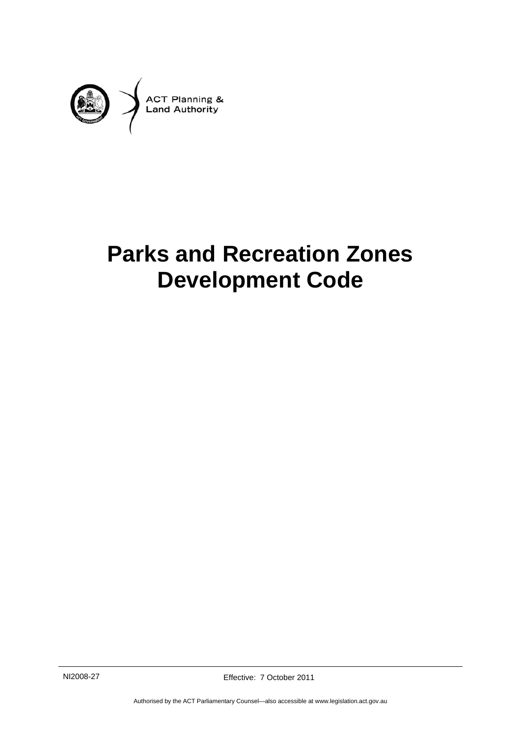

# **Parks and Recreation Zones Development Code**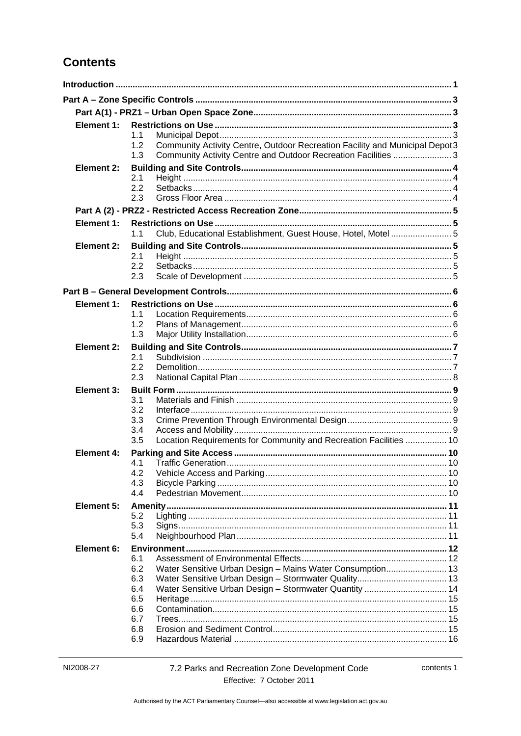# **Contents**

| Element 1:        | 1.1<br>Community Activity Centre, Outdoor Recreation Facility and Municipal Depot3<br>1.2<br>1.3<br>Community Activity Centre and Outdoor Recreation Facilities  3 |  |
|-------------------|--------------------------------------------------------------------------------------------------------------------------------------------------------------------|--|
| Element 2:        |                                                                                                                                                                    |  |
|                   | 2.1<br>2.2<br>2.3                                                                                                                                                  |  |
|                   |                                                                                                                                                                    |  |
| Element 1:        | Club, Educational Establishment, Guest House, Hotel, Motel5<br>1.1                                                                                                 |  |
| <b>Element 2:</b> | 2.1<br>2.2<br>2.3                                                                                                                                                  |  |
|                   |                                                                                                                                                                    |  |
| Element 1:        |                                                                                                                                                                    |  |
|                   | 1.1<br>1.2<br>1.3                                                                                                                                                  |  |
| Element 2:        |                                                                                                                                                                    |  |
|                   | 2.1<br>2.2<br>2.3                                                                                                                                                  |  |
| Element 3:        |                                                                                                                                                                    |  |
|                   | 3.1<br>3.2<br>3.3<br>3.4<br>Location Requirements for Community and Recreation Facilities  10<br>3.5                                                               |  |
| Element 4:        |                                                                                                                                                                    |  |
|                   | 4.1<br>4.3<br>4.4                                                                                                                                                  |  |
| <b>Element 5:</b> | 5.2<br>5.3<br>5.4                                                                                                                                                  |  |
| Element 6:        | 6.1<br>Water Sensitive Urban Design - Mains Water Consumption 13<br>6.2<br>6.3<br>6.4<br>6.5<br>6.6<br>6.7<br>6.8                                                  |  |
|                   | 6.9                                                                                                                                                                |  |

contents 1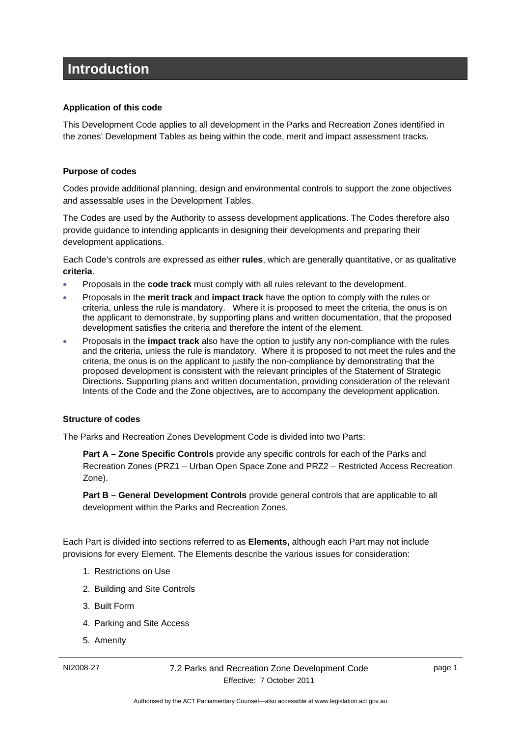# <span id="page-4-0"></span>**Introduction**

#### **Application of this code**

This Development Code applies to all development in the Parks and Recreation Zones identified in the zones' Development Tables as being within the code, merit and impact assessment tracks.

### **Purpose of codes**

Codes provide additional planning, design and environmental controls to support the zone objectives and assessable uses in the Development Tables.

The Codes are used by the Authority to assess development applications. The Codes therefore also provide guidance to intending applicants in designing their developments and preparing their development applications.

Each Code's controls are expressed as either **rules**, which are generally quantitative, or as qualitative **criteria**.

- Proposals in the **code track** must comply with all rules relevant to the development.
- Proposals in the **merit track** and **impact track** have the option to comply with the rules or criteria, unless the rule is mandatory. Where it is proposed to meet the criteria, the onus is on the applicant to demonstrate, by supporting plans and written documentation, that the proposed development satisfies the criteria and therefore the intent of the element.
- Proposals in the **impact track** also have the option to justify any non-compliance with the rules and the criteria, unless the rule is mandatory. Where it is proposed to not meet the rules and the criteria, the onus is on the applicant to justify the non-compliance by demonstrating that the proposed development is consistent with the relevant principles of the Statement of Strategic Directions. Supporting plans and written documentation, providing consideration of the relevant Intents of the Code and the Zone objectives*,* are to accompany the development application.

#### **Structure of codes**

The Parks and Recreation Zones Development Code is divided into two Parts:

**Part A – Zone Specific Controls** provide any specific controls for each of the Parks and Recreation Zones (PRZ1 – Urban Open Space Zone and PRZ2 – Restricted Access Recreation Zone).

**Part B – General Development Controls** provide general controls that are applicable to all development within the Parks and Recreation Zones.

Each Part is divided into sections referred to as **Elements,** although each Part may not include provisions for every Element. The Elements describe the various issues for consideration:

- 1. Restrictions on Use
- 2. Building and Site Controls
- 3. Built Form
- 4. Parking and Site Access
- 5. Amenity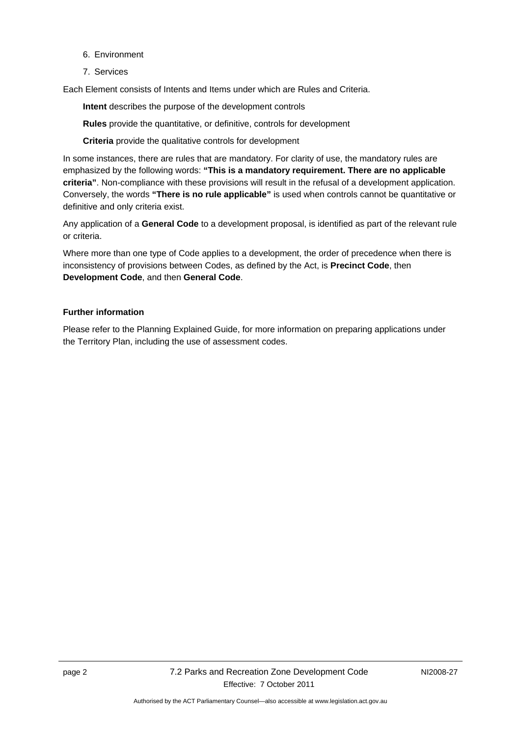- 6. Environment
- 7. Services

Each Element consists of Intents and Items under which are Rules and Criteria.

**Intent** describes the purpose of the development controls

**Rules** provide the quantitative, or definitive, controls for development

**Criteria** provide the qualitative controls for development

In some instances, there are rules that are mandatory. For clarity of use, the mandatory rules are emphasized by the following words: **"This is a mandatory requirement. There are no applicable criteria"**. Non-compliance with these provisions will result in the refusal of a development application. Conversely, the words **"There is no rule applicable"** is used when controls cannot be quantitative or definitive and only criteria exist.

Any application of a **General Code** to a development proposal, is identified as part of the relevant rule or criteria.

Where more than one type of Code applies to a development, the order of precedence when there is inconsistency of provisions between Codes, as defined by the Act, is **Precinct Code**, then **Development Code**, and then **General Code**.

#### **Further information**

Please refer to the Planning Explained Guide, for more information on preparing applications under the Territory Plan, including the use of assessment codes.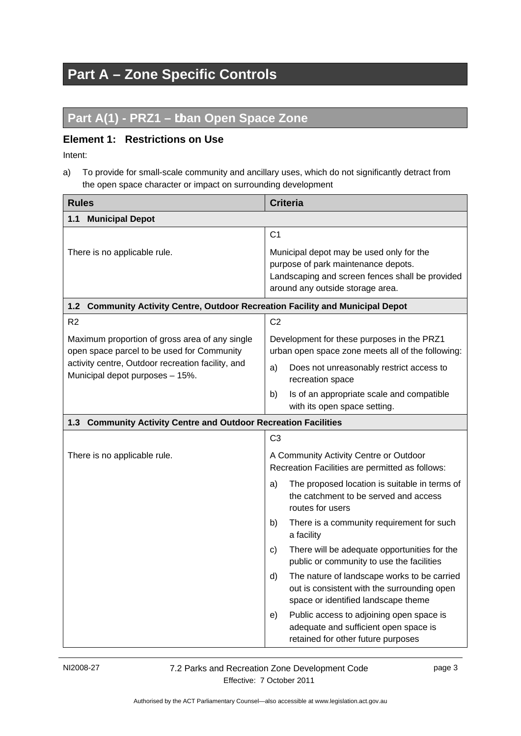# <span id="page-6-0"></span>**Part A – Zone Specific Controls**

# <span id="page-6-1"></span>Part A(1) - PRZ1 - tban Open Space Zone

### <span id="page-6-2"></span>**Element 1: Restrictions on Use**

Intent:

a) To provide for small-scale community and ancillary uses, which do not significantly detract from the open space character or impact on surrounding development

<span id="page-6-5"></span><span id="page-6-4"></span><span id="page-6-3"></span>

| <b>Rules</b>                                                                                 | <b>Criteria</b>                                                                                                                                                        |  |
|----------------------------------------------------------------------------------------------|------------------------------------------------------------------------------------------------------------------------------------------------------------------------|--|
| 1.1<br><b>Municipal Depot</b>                                                                |                                                                                                                                                                        |  |
|                                                                                              | C <sub>1</sub>                                                                                                                                                         |  |
| There is no applicable rule.                                                                 | Municipal depot may be used only for the<br>purpose of park maintenance depots.<br>Landscaping and screen fences shall be provided<br>around any outside storage area. |  |
| <b>Community Activity Centre, Outdoor Recreation Facility and Municipal Depot</b><br>1.2     |                                                                                                                                                                        |  |
| R <sub>2</sub>                                                                               | C <sub>2</sub>                                                                                                                                                         |  |
| Maximum proportion of gross area of any single<br>open space parcel to be used for Community | Development for these purposes in the PRZ1<br>urban open space zone meets all of the following:                                                                        |  |
| activity centre, Outdoor recreation facility, and<br>Municipal depot purposes - 15%.         | Does not unreasonably restrict access to<br>a)<br>recreation space                                                                                                     |  |
|                                                                                              | Is of an appropriate scale and compatible<br>b)<br>with its open space setting.                                                                                        |  |
| 1.3 Community Activity Centre and Outdoor Recreation Facilities                              |                                                                                                                                                                        |  |
|                                                                                              | C <sub>3</sub>                                                                                                                                                         |  |
| There is no applicable rule.                                                                 | A Community Activity Centre or Outdoor<br>Recreation Facilities are permitted as follows:                                                                              |  |
|                                                                                              | The proposed location is suitable in terms of<br>a)<br>the catchment to be served and access<br>routes for users                                                       |  |
|                                                                                              | There is a community requirement for such<br>b)<br>a facility                                                                                                          |  |
|                                                                                              | There will be adequate opportunities for the<br>C)<br>public or community to use the facilities                                                                        |  |
|                                                                                              | The nature of landscape works to be carried<br>d)<br>out is consistent with the surrounding open<br>space or identified landscape theme                                |  |
|                                                                                              | Public access to adjoining open space is<br>e)<br>adequate and sufficient open space is<br>retained for other future purposes                                          |  |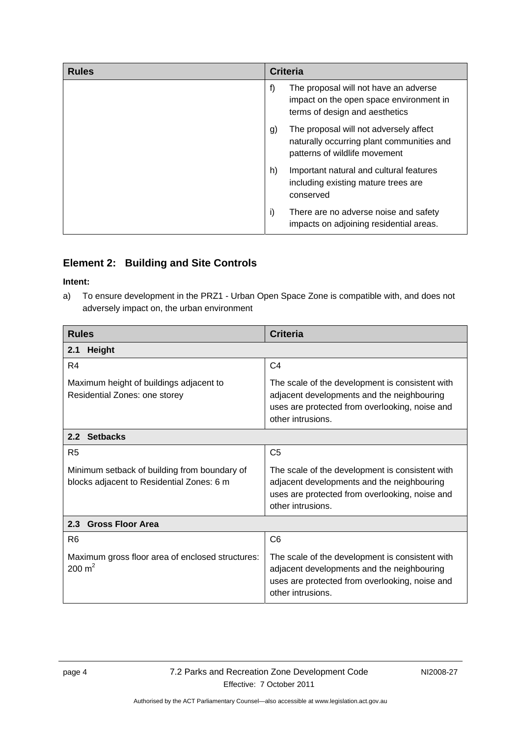| <b>Rules</b> | <b>Criteria</b>                                                                                                            |
|--------------|----------------------------------------------------------------------------------------------------------------------------|
|              | f)<br>The proposal will not have an adverse<br>impact on the open space environment in<br>terms of design and aesthetics   |
|              | The proposal will not adversely affect<br>g)<br>naturally occurring plant communities and<br>patterns of wildlife movement |
|              | Important natural and cultural features<br>h)<br>including existing mature trees are<br>conserved                          |
|              | There are no adverse noise and safety<br>i)<br>impacts on adjoining residential areas.                                     |

# <span id="page-7-0"></span>**Element 2: Building and Site Controls**

### **Intent:**

a) To ensure development in the PRZ1 - Urban Open Space Zone is compatible with, and does not adversely impact on, the urban environment

<span id="page-7-2"></span><span id="page-7-1"></span>

| <b>Rules</b>                                                                              | <b>Criteria</b>                                                                                                                                                      |  |
|-------------------------------------------------------------------------------------------|----------------------------------------------------------------------------------------------------------------------------------------------------------------------|--|
| <b>Height</b><br>2.1                                                                      |                                                                                                                                                                      |  |
| R <sub>4</sub>                                                                            | C <sub>4</sub>                                                                                                                                                       |  |
| Maximum height of buildings adjacent to<br>Residential Zones: one storey                  | The scale of the development is consistent with<br>adjacent developments and the neighbouring<br>uses are protected from overlooking, noise and<br>other intrusions. |  |
| 2.2 Setbacks                                                                              |                                                                                                                                                                      |  |
| R <sub>5</sub>                                                                            | C <sub>5</sub>                                                                                                                                                       |  |
| Minimum setback of building from boundary of<br>blocks adjacent to Residential Zones: 6 m | The scale of the development is consistent with<br>adjacent developments and the neighbouring<br>uses are protected from overlooking, noise and<br>other intrusions. |  |
| 2.3 Gross Floor Area                                                                      |                                                                                                                                                                      |  |
| R <sub>6</sub>                                                                            | C <sub>6</sub>                                                                                                                                                       |  |
| Maximum gross floor area of enclosed structures:<br>$200 \text{ m}^2$                     | The scale of the development is consistent with<br>adjacent developments and the neighbouring<br>uses are protected from overlooking, noise and<br>other intrusions. |  |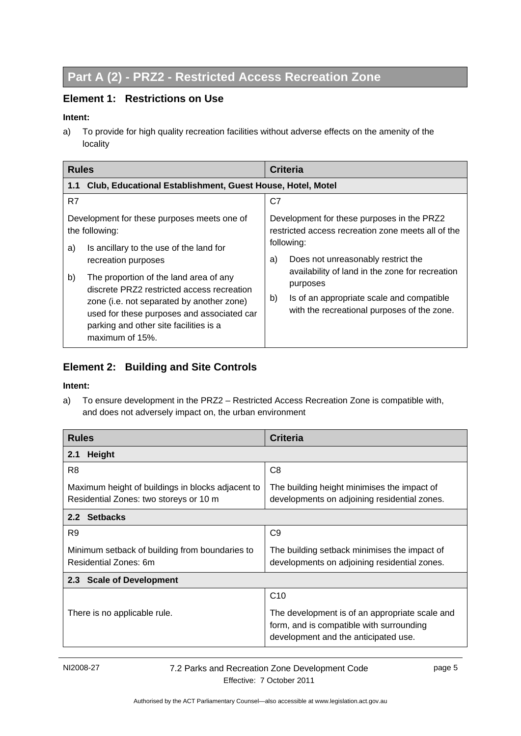# **Part A (2) - PRZ2 - Restricted Access Recreation Zone**

## **Element 1: Restrictions on Use**

#### **Intent:**

a) To provide for high quality recreation facilities without adverse effects on the amenity of the locality

| <b>Rules</b>                                                                                                                                                                                                                                                                                                                                                                                | <b>Criteria</b>                                                                                                                                                                                                                                                                                                             |  |
|---------------------------------------------------------------------------------------------------------------------------------------------------------------------------------------------------------------------------------------------------------------------------------------------------------------------------------------------------------------------------------------------|-----------------------------------------------------------------------------------------------------------------------------------------------------------------------------------------------------------------------------------------------------------------------------------------------------------------------------|--|
| Club, Educational Establishment, Guest House, Hotel, Motel<br>1.1                                                                                                                                                                                                                                                                                                                           |                                                                                                                                                                                                                                                                                                                             |  |
| R7                                                                                                                                                                                                                                                                                                                                                                                          | C7                                                                                                                                                                                                                                                                                                                          |  |
| Development for these purposes meets one of<br>the following:<br>Is ancillary to the use of the land for<br>a)<br>recreation purposes<br>b)<br>The proportion of the land area of any<br>discrete PRZ2 restricted access recreation<br>zone (i.e. not separated by another zone)<br>used for these purposes and associated car<br>parking and other site facilities is a<br>maximum of 15%. | Development for these purposes in the PRZ2<br>restricted access recreation zone meets all of the<br>following:<br>Does not unreasonably restrict the<br>a)<br>availability of land in the zone for recreation<br>purposes<br>b)<br>Is of an appropriate scale and compatible<br>with the recreational purposes of the zone. |  |

# **Element 2: Building and Site Controls**

#### **Intent:**

a) To ensure development in the PRZ2 – Restricted Access Recreation Zone is compatible with, and does not adversely impact on, the urban environment

<span id="page-8-0"></span>

| <b>Rules</b>                                                                                | <b>Criteria</b>                                                                                                                    |  |
|---------------------------------------------------------------------------------------------|------------------------------------------------------------------------------------------------------------------------------------|--|
| <b>Height</b><br>2.1                                                                        |                                                                                                                                    |  |
| R <sub>8</sub>                                                                              | C <sub>8</sub>                                                                                                                     |  |
| Maximum height of buildings in blocks adjacent to<br>Residential Zones: two storeys or 10 m | The building height minimises the impact of<br>developments on adjoining residential zones.                                        |  |
| 2.2 Setbacks                                                                                |                                                                                                                                    |  |
| R9                                                                                          | C <sub>9</sub>                                                                                                                     |  |
| Minimum setback of building from boundaries to<br>Residential Zones: 6m                     | The building setback minimises the impact of<br>developments on adjoining residential zones.                                       |  |
| 2.3 Scale of Development                                                                    |                                                                                                                                    |  |
|                                                                                             | C <sub>10</sub>                                                                                                                    |  |
| There is no applicable rule.                                                                | The development is of an appropriate scale and<br>form, and is compatible with surrounding<br>development and the anticipated use. |  |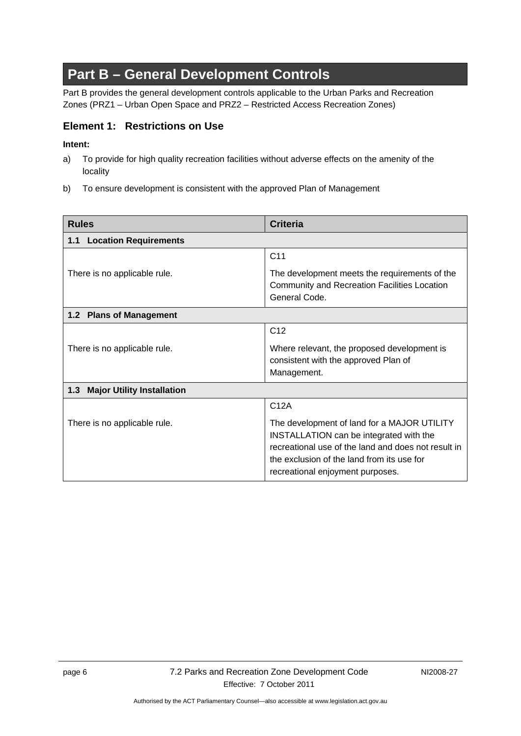# **Part B – General Development Controls**

<span id="page-9-1"></span><span id="page-9-0"></span>Part B provides the general development controls applicable to the Urban Parks and Recreation Zones (PRZ1 – Urban Open Space and PRZ2 – Restricted Access Recreation Zones)

### **Element 1: Restrictions on Use**

### **Intent:**

- a) To provide for high quality recreation facilities without adverse effects on the amenity of the locality
- <span id="page-9-2"></span>b) To ensure development is consistent with the approved Plan of Management

<span id="page-9-5"></span><span id="page-9-4"></span><span id="page-9-3"></span>

| <b>Rules</b>                             | <b>Criteria</b>                                                                                                                                                                                                                 |  |
|------------------------------------------|---------------------------------------------------------------------------------------------------------------------------------------------------------------------------------------------------------------------------------|--|
| <b>Location Requirements</b><br>1.1      |                                                                                                                                                                                                                                 |  |
|                                          | C <sub>11</sub>                                                                                                                                                                                                                 |  |
| There is no applicable rule.             | The development meets the requirements of the<br>Community and Recreation Facilities Location<br>General Code.                                                                                                                  |  |
| 1.2 Plans of Management                  |                                                                                                                                                                                                                                 |  |
|                                          | C <sub>12</sub>                                                                                                                                                                                                                 |  |
| There is no applicable rule.             | Where relevant, the proposed development is<br>consistent with the approved Plan of<br>Management.                                                                                                                              |  |
| <b>Major Utility Installation</b><br>1.3 |                                                                                                                                                                                                                                 |  |
|                                          | C12A                                                                                                                                                                                                                            |  |
| There is no applicable rule.             | The development of land for a MAJOR UTILITY<br>INSTALLATION can be integrated with the<br>recreational use of the land and does not result in<br>the exclusion of the land from its use for<br>recreational enjoyment purposes. |  |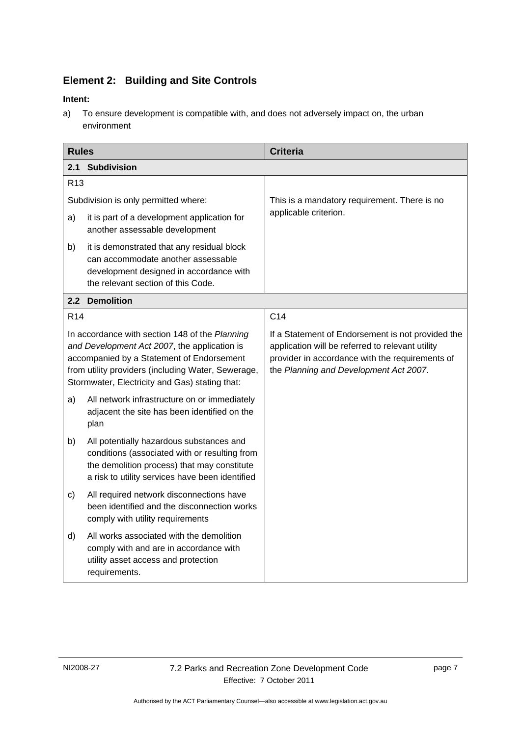# **Element 2: Building and Site Controls**

### **Intent:**

a) To ensure development is compatible with, and does not adversely impact on, the urban environment

<span id="page-10-0"></span>

| <b>Rules</b>                                                                                                                                                                                                                                        |                                                                                                                                                                                             | <b>Criteria</b>                                                                                                                                                                                    |
|-----------------------------------------------------------------------------------------------------------------------------------------------------------------------------------------------------------------------------------------------------|---------------------------------------------------------------------------------------------------------------------------------------------------------------------------------------------|----------------------------------------------------------------------------------------------------------------------------------------------------------------------------------------------------|
| 2.1<br><b>Subdivision</b>                                                                                                                                                                                                                           |                                                                                                                                                                                             |                                                                                                                                                                                                    |
| R <sub>13</sub>                                                                                                                                                                                                                                     |                                                                                                                                                                                             |                                                                                                                                                                                                    |
| Subdivision is only permitted where:                                                                                                                                                                                                                |                                                                                                                                                                                             | This is a mandatory requirement. There is no                                                                                                                                                       |
| a)                                                                                                                                                                                                                                                  | it is part of a development application for<br>another assessable development                                                                                                               | applicable criterion.                                                                                                                                                                              |
| b)                                                                                                                                                                                                                                                  | it is demonstrated that any residual block<br>can accommodate another assessable<br>development designed in accordance with<br>the relevant section of this Code.                           |                                                                                                                                                                                                    |
|                                                                                                                                                                                                                                                     | 2.2 Demolition                                                                                                                                                                              |                                                                                                                                                                                                    |
| R <sub>14</sub>                                                                                                                                                                                                                                     |                                                                                                                                                                                             | C <sub>14</sub>                                                                                                                                                                                    |
| In accordance with section 148 of the Planning<br>and Development Act 2007, the application is<br>accompanied by a Statement of Endorsement<br>from utility providers (including Water, Sewerage,<br>Stormwater, Electricity and Gas) stating that: |                                                                                                                                                                                             | If a Statement of Endorsement is not provided the<br>application will be referred to relevant utility<br>provider in accordance with the requirements of<br>the Planning and Development Act 2007. |
| a)                                                                                                                                                                                                                                                  | All network infrastructure on or immediately<br>adjacent the site has been identified on the<br>plan                                                                                        |                                                                                                                                                                                                    |
| b)                                                                                                                                                                                                                                                  | All potentially hazardous substances and<br>conditions (associated with or resulting from<br>the demolition process) that may constitute<br>a risk to utility services have been identified |                                                                                                                                                                                                    |
| $\mathsf{c})$                                                                                                                                                                                                                                       | All required network disconnections have<br>been identified and the disconnection works<br>comply with utility requirements                                                                 |                                                                                                                                                                                                    |
| d)                                                                                                                                                                                                                                                  | All works associated with the demolition<br>comply with and are in accordance with<br>utility asset access and protection<br>requirements.                                                  |                                                                                                                                                                                                    |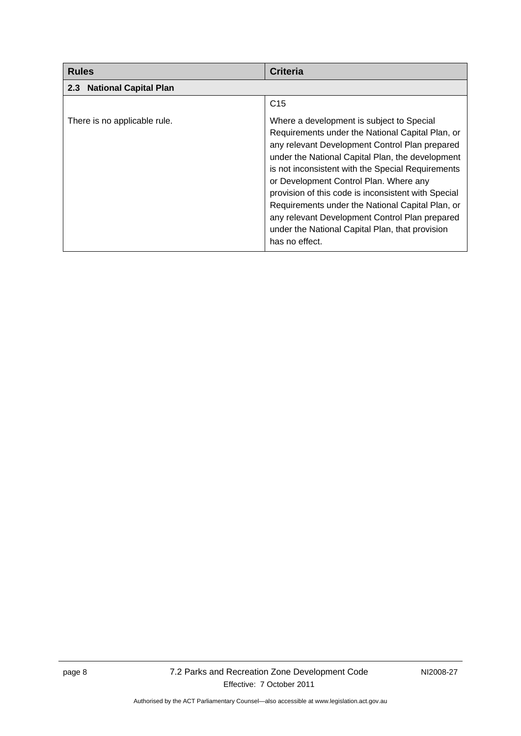<span id="page-11-4"></span><span id="page-11-3"></span><span id="page-11-2"></span><span id="page-11-1"></span><span id="page-11-0"></span>

| <b>Rules</b>                                     | <b>Criteria</b>                                                                                                                                                                                                                                                                                                                                                                                                                                                                                                                      |
|--------------------------------------------------|--------------------------------------------------------------------------------------------------------------------------------------------------------------------------------------------------------------------------------------------------------------------------------------------------------------------------------------------------------------------------------------------------------------------------------------------------------------------------------------------------------------------------------------|
| <b>National Capital Plan</b><br>2.3 <sub>2</sub> |                                                                                                                                                                                                                                                                                                                                                                                                                                                                                                                                      |
|                                                  | C <sub>15</sub>                                                                                                                                                                                                                                                                                                                                                                                                                                                                                                                      |
| There is no applicable rule.                     | Where a development is subject to Special<br>Requirements under the National Capital Plan, or<br>any relevant Development Control Plan prepared<br>under the National Capital Plan, the development<br>is not inconsistent with the Special Requirements<br>or Development Control Plan. Where any<br>provision of this code is inconsistent with Special<br>Requirements under the National Capital Plan, or<br>any relevant Development Control Plan prepared<br>under the National Capital Plan, that provision<br>has no effect. |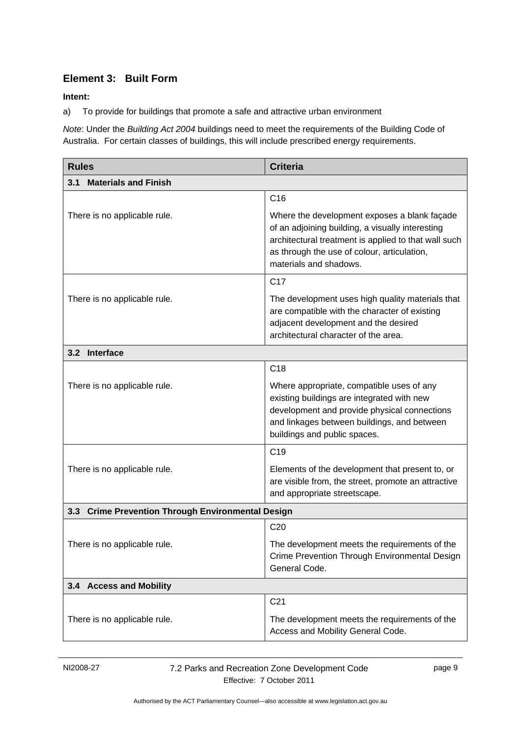# <span id="page-12-0"></span>**Element 3: Built Form**

### **Intent:**

a) To provide for buildings that promote a safe and attractive urban environment

*Note*: Under the *Building Act 2004* buildings need to meet the requirements of the Building Code of Australia. For certain classes of buildings, this will include prescribed energy requirements.

<span id="page-12-2"></span><span id="page-12-1"></span>

| <b>Rules</b>                                      | <b>Criteria</b>                                                                                                                                                                                                                   |  |
|---------------------------------------------------|-----------------------------------------------------------------------------------------------------------------------------------------------------------------------------------------------------------------------------------|--|
| <b>Materials and Finish</b><br>3.1                |                                                                                                                                                                                                                                   |  |
|                                                   | C <sub>16</sub>                                                                                                                                                                                                                   |  |
| There is no applicable rule.                      | Where the development exposes a blank façade<br>of an adjoining building, a visually interesting<br>architectural treatment is applied to that wall such<br>as through the use of colour, articulation,<br>materials and shadows. |  |
|                                                   | C <sub>17</sub>                                                                                                                                                                                                                   |  |
| There is no applicable rule.                      | The development uses high quality materials that<br>are compatible with the character of existing<br>adjacent development and the desired<br>architectural character of the area.                                                 |  |
| 3.2 Interface                                     |                                                                                                                                                                                                                                   |  |
|                                                   | C <sub>18</sub>                                                                                                                                                                                                                   |  |
| There is no applicable rule.                      | Where appropriate, compatible uses of any<br>existing buildings are integrated with new<br>development and provide physical connections<br>and linkages between buildings, and between<br>buildings and public spaces.            |  |
|                                                   | C <sub>19</sub>                                                                                                                                                                                                                   |  |
| There is no applicable rule.                      | Elements of the development that present to, or<br>are visible from, the street, promote an attractive<br>and appropriate streetscape.                                                                                            |  |
| 3.3 Crime Prevention Through Environmental Design |                                                                                                                                                                                                                                   |  |
|                                                   | C <sub>20</sub>                                                                                                                                                                                                                   |  |
| There is no applicable rule.                      | The development meets the requirements of the<br>Crime Prevention Through Environmental Design<br>General Code.                                                                                                                   |  |
| 3.4 Access and Mobility                           |                                                                                                                                                                                                                                   |  |
|                                                   | C <sub>21</sub>                                                                                                                                                                                                                   |  |
| There is no applicable rule.                      | The development meets the requirements of the<br>Access and Mobility General Code.                                                                                                                                                |  |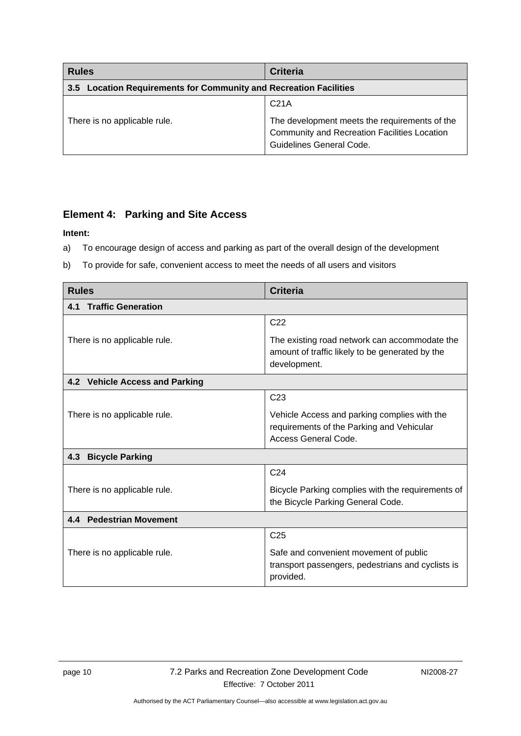<span id="page-13-0"></span>

| <b>Rules</b>                                                      | <b>Criteria</b>                                                                                                                  |
|-------------------------------------------------------------------|----------------------------------------------------------------------------------------------------------------------------------|
| 3.5 Location Requirements for Community and Recreation Facilities |                                                                                                                                  |
|                                                                   | C <sub>21A</sub>                                                                                                                 |
| There is no applicable rule.                                      | The development meets the requirements of the<br><b>Community and Recreation Facilities Location</b><br>Guidelines General Code. |

### **Element 4: Parking and Site Access**

### **Intent:**

- a) To encourage design of access and parking as part of the overall design of the development
- b) To provide for safe, convenient access to meet the needs of all users and visitors

| <b>Rules</b>                     | <b>Criteria</b>                                                                                                   |
|----------------------------------|-------------------------------------------------------------------------------------------------------------------|
| <b>Traffic Generation</b><br>4.1 |                                                                                                                   |
|                                  | C <sub>22</sub>                                                                                                   |
| There is no applicable rule.     | The existing road network can accommodate the<br>amount of traffic likely to be generated by the<br>development.  |
| 4.2 Vehicle Access and Parking   |                                                                                                                   |
|                                  | C <sub>23</sub>                                                                                                   |
| There is no applicable rule.     | Vehicle Access and parking complies with the<br>requirements of the Parking and Vehicular<br>Access General Code. |
| 4.3<br><b>Bicycle Parking</b>    |                                                                                                                   |
|                                  | C <sub>24</sub>                                                                                                   |
| There is no applicable rule.     | Bicycle Parking complies with the requirements of<br>the Bicycle Parking General Code.                            |
| 4.4 Pedestrian Movement          |                                                                                                                   |
|                                  | C <sub>25</sub>                                                                                                   |
| There is no applicable rule.     | Safe and convenient movement of public<br>transport passengers, pedestrians and cyclists is<br>provided.          |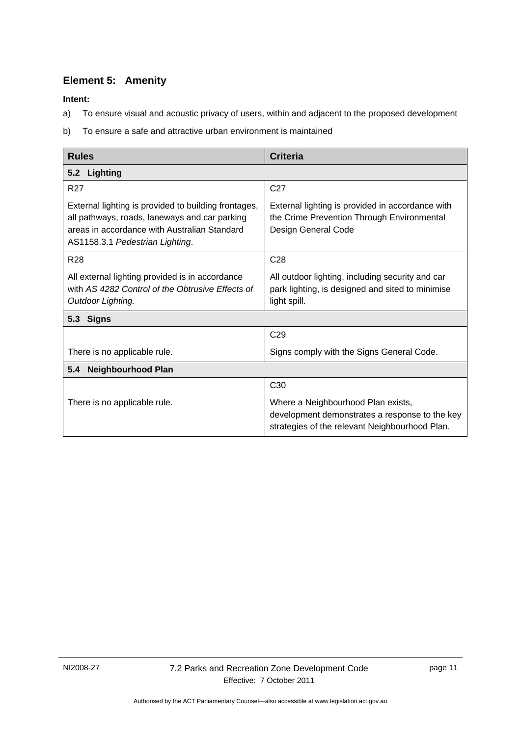# <span id="page-14-0"></span>**Element 5: Amenity**

**Intent:** 

- a) To ensure visual and acoustic privacy of users, within and adjacent to the proposed development
- b) To ensure a safe and attractive urban environment is maintained

<span id="page-14-3"></span><span id="page-14-2"></span><span id="page-14-1"></span>

| <b>Rules</b>                                                                                                                                                                             | <b>Criteria</b>                                                                                                                        |
|------------------------------------------------------------------------------------------------------------------------------------------------------------------------------------------|----------------------------------------------------------------------------------------------------------------------------------------|
| 5.2 Lighting                                                                                                                                                                             |                                                                                                                                        |
| <b>R27</b>                                                                                                                                                                               | C <sub>27</sub>                                                                                                                        |
| External lighting is provided to building frontages,<br>all pathways, roads, laneways and car parking<br>areas in accordance with Australian Standard<br>AS1158.3.1 Pedestrian Lighting. | External lighting is provided in accordance with<br>the Crime Prevention Through Environmental<br>Design General Code                  |
| <b>R28</b>                                                                                                                                                                               | C <sub>28</sub>                                                                                                                        |
| All external lighting provided is in accordance<br>with AS 4282 Control of the Obtrusive Effects of<br>Outdoor Lighting.                                                                 | All outdoor lighting, including security and car<br>park lighting, is designed and sited to minimise<br>light spill.                   |
| <b>Signs</b><br>5.3                                                                                                                                                                      |                                                                                                                                        |
|                                                                                                                                                                                          | C <sub>29</sub>                                                                                                                        |
| There is no applicable rule.                                                                                                                                                             | Signs comply with the Signs General Code.                                                                                              |
| <b>Neighbourhood Plan</b><br>5.4                                                                                                                                                         |                                                                                                                                        |
|                                                                                                                                                                                          | C <sub>30</sub>                                                                                                                        |
| There is no applicable rule.                                                                                                                                                             | Where a Neighbourhood Plan exists,<br>development demonstrates a response to the key<br>strategies of the relevant Neighbourhood Plan. |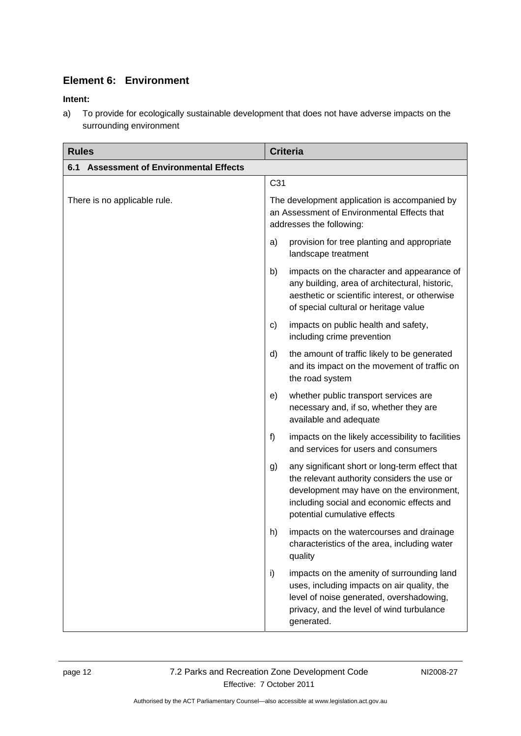# <span id="page-15-1"></span>**Element 6: Environment**

### **Intent:**

a) To provide for ecologically sustainable development that does not have adverse impacts on the surrounding environment

<span id="page-15-5"></span><span id="page-15-4"></span><span id="page-15-3"></span><span id="page-15-2"></span><span id="page-15-0"></span>

| <b>Rules</b>                                      | <b>Criteria</b>                                                                                                                                                                                                              |
|---------------------------------------------------|------------------------------------------------------------------------------------------------------------------------------------------------------------------------------------------------------------------------------|
| <b>Assessment of Environmental Effects</b><br>6.1 |                                                                                                                                                                                                                              |
|                                                   | C31                                                                                                                                                                                                                          |
| There is no applicable rule.                      | The development application is accompanied by<br>an Assessment of Environmental Effects that<br>addresses the following:                                                                                                     |
|                                                   | provision for tree planting and appropriate<br>a)<br>landscape treatment                                                                                                                                                     |
|                                                   | impacts on the character and appearance of<br>b)<br>any building, area of architectural, historic,<br>aesthetic or scientific interest, or otherwise<br>of special cultural or heritage value                                |
|                                                   | impacts on public health and safety,<br>C)<br>including crime prevention                                                                                                                                                     |
|                                                   | the amount of traffic likely to be generated<br>d)<br>and its impact on the movement of traffic on<br>the road system                                                                                                        |
|                                                   | whether public transport services are<br>e)<br>necessary and, if so, whether they are<br>available and adequate                                                                                                              |
|                                                   | f)<br>impacts on the likely accessibility to facilities<br>and services for users and consumers                                                                                                                              |
|                                                   | any significant short or long-term effect that<br>g)<br>the relevant authority considers the use or<br>development may have on the environment,<br>including social and economic effects and<br>potential cumulative effects |
|                                                   | impacts on the watercourses and drainage<br>h)<br>characteristics of the area, including water<br>quality                                                                                                                    |
|                                                   | impacts on the amenity of surrounding land<br>i)<br>uses, including impacts on air quality, the<br>level of noise generated, overshadowing,<br>privacy, and the level of wind turbulance<br>generated.                       |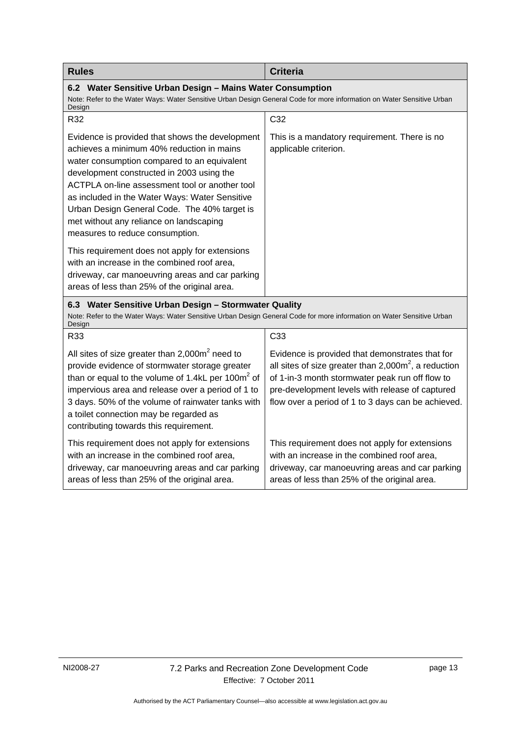<span id="page-16-0"></span>

| <b>Rules</b>                                                                                                                                                                                                                                                                                                                                                                                                               | <b>Criteria</b>                                                                                                                                                                                                                                                        |
|----------------------------------------------------------------------------------------------------------------------------------------------------------------------------------------------------------------------------------------------------------------------------------------------------------------------------------------------------------------------------------------------------------------------------|------------------------------------------------------------------------------------------------------------------------------------------------------------------------------------------------------------------------------------------------------------------------|
| 6.2 Water Sensitive Urban Design - Mains Water Consumption<br>Note: Refer to the Water Ways: Water Sensitive Urban Design General Code for more information on Water Sensitive Urban<br>Design                                                                                                                                                                                                                             |                                                                                                                                                                                                                                                                        |
| R32                                                                                                                                                                                                                                                                                                                                                                                                                        | C32                                                                                                                                                                                                                                                                    |
| Evidence is provided that shows the development<br>achieves a minimum 40% reduction in mains<br>water consumption compared to an equivalent<br>development constructed in 2003 using the<br>ACTPLA on-line assessment tool or another tool<br>as included in the Water Ways: Water Sensitive<br>Urban Design General Code. The 40% target is<br>met without any reliance on landscaping<br>measures to reduce consumption. | This is a mandatory requirement. There is no<br>applicable criterion.                                                                                                                                                                                                  |
| This requirement does not apply for extensions<br>with an increase in the combined roof area,<br>driveway, car manoeuvring areas and car parking<br>areas of less than 25% of the original area.                                                                                                                                                                                                                           |                                                                                                                                                                                                                                                                        |
| 6.3 Water Sensitive Urban Design - Stormwater Quality<br>Note: Refer to the Water Ways: Water Sensitive Urban Design General Code for more information on Water Sensitive Urban<br>Design                                                                                                                                                                                                                                  |                                                                                                                                                                                                                                                                        |
| R33                                                                                                                                                                                                                                                                                                                                                                                                                        | C33                                                                                                                                                                                                                                                                    |
| All sites of size greater than $2,000m^2$ need to<br>provide evidence of stormwater storage greater<br>than or equal to the volume of 1.4kL per 100 $m2$ of<br>impervious area and release over a period of 1 to<br>3 days. 50% of the volume of rainwater tanks with<br>a toilet connection may be regarded as<br>contributing towards this requirement.                                                                  | Evidence is provided that demonstrates that for<br>all sites of size greater than $2,000m^2$ , a reduction<br>of 1-in-3 month stormwater peak run off flow to<br>pre-development levels with release of captured<br>flow over a period of 1 to 3 days can be achieved. |
| This requirement does not apply for extensions<br>with an increase in the combined roof area,<br>driveway, car manoeuvring areas and car parking<br>areas of less than 25% of the original area.                                                                                                                                                                                                                           | This requirement does not apply for extensions<br>with an increase in the combined roof area,<br>driveway, car manoeuvring areas and car parking<br>areas of less than 25% of the original area.                                                                       |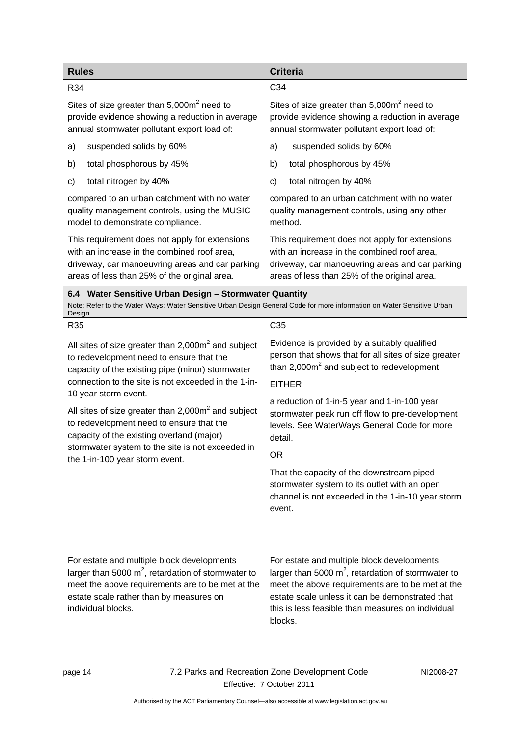<span id="page-17-3"></span><span id="page-17-2"></span><span id="page-17-1"></span><span id="page-17-0"></span>

| <b>Rules</b>                                                                                                                                                                                                                                                          | <b>Criteria</b>                                                                                                                                                                                                                                                            |
|-----------------------------------------------------------------------------------------------------------------------------------------------------------------------------------------------------------------------------------------------------------------------|----------------------------------------------------------------------------------------------------------------------------------------------------------------------------------------------------------------------------------------------------------------------------|
| R34                                                                                                                                                                                                                                                                   | C34                                                                                                                                                                                                                                                                        |
| Sites of size greater than 5,000m <sup>2</sup> need to<br>provide evidence showing a reduction in average<br>annual stormwater pollutant export load of:                                                                                                              | Sites of size greater than $5,000m^2$ need to<br>provide evidence showing a reduction in average<br>annual stormwater pollutant export load of:                                                                                                                            |
| suspended solids by 60%<br>a)                                                                                                                                                                                                                                         | suspended solids by 60%<br>a)                                                                                                                                                                                                                                              |
| total phosphorous by 45%<br>b)                                                                                                                                                                                                                                        | total phosphorous by 45%<br>b)                                                                                                                                                                                                                                             |
| total nitrogen by 40%<br>c)                                                                                                                                                                                                                                           | total nitrogen by 40%<br>c)                                                                                                                                                                                                                                                |
| compared to an urban catchment with no water<br>quality management controls, using the MUSIC<br>model to demonstrate compliance.                                                                                                                                      | compared to an urban catchment with no water<br>quality management controls, using any other<br>method.                                                                                                                                                                    |
| This requirement does not apply for extensions<br>with an increase in the combined roof area,<br>driveway, car manoeuvring areas and car parking<br>areas of less than 25% of the original area.                                                                      | This requirement does not apply for extensions<br>with an increase in the combined roof area,<br>driveway, car manoeuvring areas and car parking<br>areas of less than 25% of the original area.                                                                           |
| 6.4 Water Sensitive Urban Design - Stormwater Quantity<br>Note: Refer to the Water Ways: Water Sensitive Urban Design General Code for more information on Water Sensitive Urban<br>Design                                                                            |                                                                                                                                                                                                                                                                            |
| R35                                                                                                                                                                                                                                                                   | C <sub>35</sub>                                                                                                                                                                                                                                                            |
| All sites of size greater than $2,000m^2$ and subject<br>to redevelopment need to ensure that the<br>capacity of the existing pipe (minor) stormwater                                                                                                                 | Evidence is provided by a suitably qualified<br>person that shows that for all sites of size greater<br>than $2,000m^2$ and subject to redevelopment                                                                                                                       |
| connection to the site is not exceeded in the 1-in-                                                                                                                                                                                                                   | <b>EITHER</b>                                                                                                                                                                                                                                                              |
| 10 year storm event.<br>All sites of size greater than $2,000\,\text{m}^2$ and subject<br>to redevelopment need to ensure that the<br>capacity of the existing overland (major)<br>stormwater system to the site is not exceeded in<br>the 1-in-100 year storm event. | a reduction of 1-in-5 year and 1-in-100 year<br>stormwater peak run off flow to pre-development<br>levels. See WaterWays General Code for more<br>detail.<br>OR                                                                                                            |
|                                                                                                                                                                                                                                                                       | That the capacity of the downstream piped<br>stormwater system to its outlet with an open<br>channel is not exceeded in the 1-in-10 year storm<br>event.                                                                                                                   |
| For estate and multiple block developments<br>larger than 5000 $m^2$ , retardation of stormwater to<br>meet the above requirements are to be met at the<br>estate scale rather than by measures on<br>individual blocks.                                              | For estate and multiple block developments<br>larger than 5000 $m^2$ , retardation of stormwater to<br>meet the above requirements are to be met at the<br>estate scale unless it can be demonstrated that<br>this is less feasible than measures on individual<br>blocks. |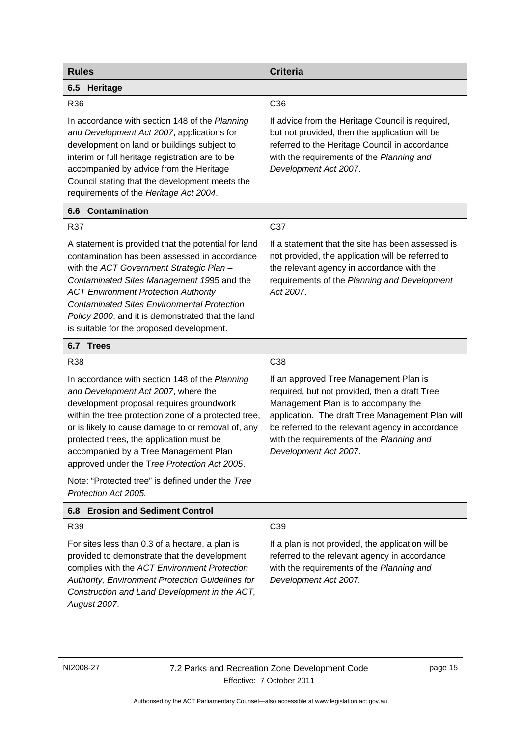<span id="page-18-1"></span><span id="page-18-0"></span>

| <b>Rules</b>                                                                                                                                                                                                                                                                                                                                                                                          | <b>Criteria</b>                                                                                                                                                                                                                                                                                              |
|-------------------------------------------------------------------------------------------------------------------------------------------------------------------------------------------------------------------------------------------------------------------------------------------------------------------------------------------------------------------------------------------------------|--------------------------------------------------------------------------------------------------------------------------------------------------------------------------------------------------------------------------------------------------------------------------------------------------------------|
| 6.5<br>Heritage                                                                                                                                                                                                                                                                                                                                                                                       |                                                                                                                                                                                                                                                                                                              |
| R36                                                                                                                                                                                                                                                                                                                                                                                                   | C <sub>36</sub>                                                                                                                                                                                                                                                                                              |
| In accordance with section 148 of the Planning<br>and Development Act 2007, applications for<br>development on land or buildings subject to<br>interim or full heritage registration are to be<br>accompanied by advice from the Heritage<br>Council stating that the development meets the<br>requirements of the Heritage Act 2004.                                                                 | If advice from the Heritage Council is required,<br>but not provided, then the application will be<br>referred to the Heritage Council in accordance<br>with the requirements of the Planning and<br>Development Act 2007.                                                                                   |
| <b>6.6 Contamination</b>                                                                                                                                                                                                                                                                                                                                                                              |                                                                                                                                                                                                                                                                                                              |
| R37                                                                                                                                                                                                                                                                                                                                                                                                   | C37                                                                                                                                                                                                                                                                                                          |
| A statement is provided that the potential for land<br>contamination has been assessed in accordance<br>with the ACT Government Strategic Plan -<br>Contaminated Sites Management 1995 and the<br><b>ACT Environment Protection Authority</b><br><b>Contaminated Sites Environmental Protection</b><br>Policy 2000, and it is demonstrated that the land<br>is suitable for the proposed development. | If a statement that the site has been assessed is<br>not provided, the application will be referred to<br>the relevant agency in accordance with the<br>requirements of the Planning and Development<br>Act 2007.                                                                                            |
| 6.7 Trees                                                                                                                                                                                                                                                                                                                                                                                             |                                                                                                                                                                                                                                                                                                              |
| R38                                                                                                                                                                                                                                                                                                                                                                                                   | C38                                                                                                                                                                                                                                                                                                          |
| In accordance with section 148 of the Planning<br>and Development Act 2007, where the<br>development proposal requires groundwork<br>within the tree protection zone of a protected tree,<br>or is likely to cause damage to or removal of, any<br>protected trees, the application must be<br>accompanied by a Tree Management Plan<br>approved under the Tree Protection Act 2005.                  | If an approved Tree Management Plan is<br>required, but not provided, then a draft Tree<br>Management Plan is to accompany the<br>application. The draft Tree Management Plan will<br>be referred to the relevant agency in accordance<br>with the requirements of the Planning and<br>Development Act 2007. |
| Note: "Protected tree" is defined under the Tree<br>Protection Act 2005.                                                                                                                                                                                                                                                                                                                              |                                                                                                                                                                                                                                                                                                              |
| 6.8 Erosion and Sediment Control                                                                                                                                                                                                                                                                                                                                                                      |                                                                                                                                                                                                                                                                                                              |
| R39                                                                                                                                                                                                                                                                                                                                                                                                   | C39                                                                                                                                                                                                                                                                                                          |
| For sites less than 0.3 of a hectare, a plan is<br>provided to demonstrate that the development<br>complies with the ACT Environment Protection<br>Authority, Environment Protection Guidelines for<br>Construction and Land Development in the ACT,<br>August 2007.                                                                                                                                  | If a plan is not provided, the application will be<br>referred to the relevant agency in accordance<br>with the requirements of the Planning and<br>Development Act 2007.                                                                                                                                    |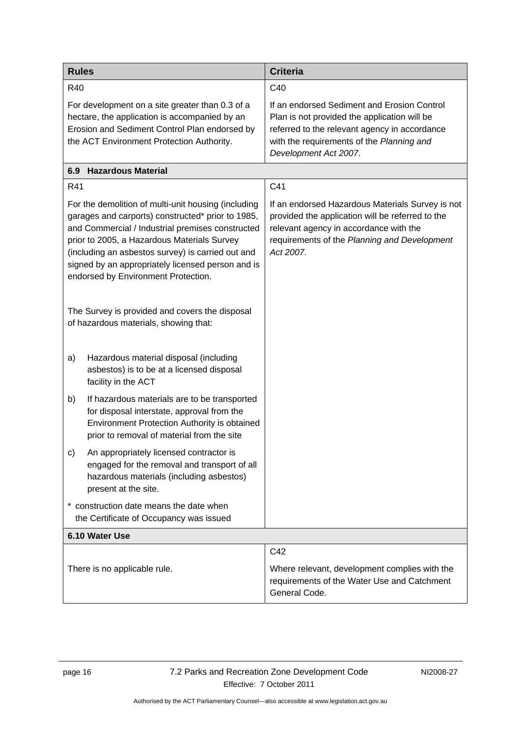| <b>Rules</b>                                                                                                                                                                                                                                                                                                                                                 | <b>Criteria</b>                                                                                                                                                                                                    |
|--------------------------------------------------------------------------------------------------------------------------------------------------------------------------------------------------------------------------------------------------------------------------------------------------------------------------------------------------------------|--------------------------------------------------------------------------------------------------------------------------------------------------------------------------------------------------------------------|
| R40                                                                                                                                                                                                                                                                                                                                                          | C40                                                                                                                                                                                                                |
| For development on a site greater than 0.3 of a<br>hectare, the application is accompanied by an<br>Erosion and Sediment Control Plan endorsed by<br>the ACT Environment Protection Authority.                                                                                                                                                               | If an endorsed Sediment and Erosion Control<br>Plan is not provided the application will be<br>referred to the relevant agency in accordance<br>with the requirements of the Planning and<br>Development Act 2007. |
| <b>Hazardous Material</b><br>6.9                                                                                                                                                                                                                                                                                                                             |                                                                                                                                                                                                                    |
| R41                                                                                                                                                                                                                                                                                                                                                          | C41                                                                                                                                                                                                                |
| For the demolition of multi-unit housing (including<br>garages and carports) constructed* prior to 1985,<br>and Commercial / Industrial premises constructed<br>prior to 2005, a Hazardous Materials Survey<br>(including an asbestos survey) is carried out and<br>signed by an appropriately licensed person and is<br>endorsed by Environment Protection. | If an endorsed Hazardous Materials Survey is not<br>provided the application will be referred to the<br>relevant agency in accordance with the<br>requirements of the Planning and Development<br>Act 2007.        |
| The Survey is provided and covers the disposal<br>of hazardous materials, showing that:                                                                                                                                                                                                                                                                      |                                                                                                                                                                                                                    |
| Hazardous material disposal (including<br>a)<br>asbestos) is to be at a licensed disposal<br>facility in the ACT                                                                                                                                                                                                                                             |                                                                                                                                                                                                                    |
| b)<br>If hazardous materials are to be transported<br>for disposal interstate, approval from the<br>Environment Protection Authority is obtained<br>prior to removal of material from the site                                                                                                                                                               |                                                                                                                                                                                                                    |
| An appropriately licensed contractor is<br>C)<br>engaged for the removal and transport of all<br>hazardous materials (including asbestos)<br>present at the site.                                                                                                                                                                                            |                                                                                                                                                                                                                    |
| * construction date means the date when<br>the Certificate of Occupancy was issued                                                                                                                                                                                                                                                                           |                                                                                                                                                                                                                    |
| 6.10 Water Use                                                                                                                                                                                                                                                                                                                                               |                                                                                                                                                                                                                    |
|                                                                                                                                                                                                                                                                                                                                                              | C42                                                                                                                                                                                                                |
| There is no applicable rule.                                                                                                                                                                                                                                                                                                                                 | Where relevant, development complies with the<br>requirements of the Water Use and Catchment<br>General Code.                                                                                                      |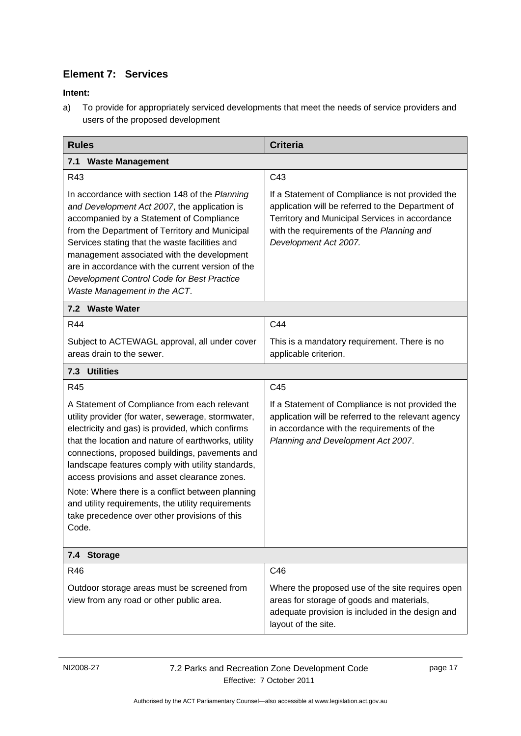# **Element 7: Services**

### <span id="page-20-0"></span>**Intent:**

a) To provide for appropriately serviced developments that meet the needs of service providers and users of the proposed development

<span id="page-20-1"></span>

| <b>Rules</b>                                                                                                                                                                                                                                                                                                                                                                                                                                                                                                                             | <b>Criteria</b>                                                                                                                                                                                                               |
|------------------------------------------------------------------------------------------------------------------------------------------------------------------------------------------------------------------------------------------------------------------------------------------------------------------------------------------------------------------------------------------------------------------------------------------------------------------------------------------------------------------------------------------|-------------------------------------------------------------------------------------------------------------------------------------------------------------------------------------------------------------------------------|
| 7.1<br><b>Waste Management</b>                                                                                                                                                                                                                                                                                                                                                                                                                                                                                                           |                                                                                                                                                                                                                               |
| R43                                                                                                                                                                                                                                                                                                                                                                                                                                                                                                                                      | C43                                                                                                                                                                                                                           |
| In accordance with section 148 of the Planning<br>and Development Act 2007, the application is<br>accompanied by a Statement of Compliance<br>from the Department of Territory and Municipal<br>Services stating that the waste facilities and<br>management associated with the development<br>are in accordance with the current version of the<br>Development Control Code for Best Practice<br>Waste Management in the ACT.                                                                                                          | If a Statement of Compliance is not provided the<br>application will be referred to the Department of<br>Territory and Municipal Services in accordance<br>with the requirements of the Planning and<br>Development Act 2007. |
| 7.2 Waste Water                                                                                                                                                                                                                                                                                                                                                                                                                                                                                                                          |                                                                                                                                                                                                                               |
| R44                                                                                                                                                                                                                                                                                                                                                                                                                                                                                                                                      | C44                                                                                                                                                                                                                           |
| Subject to ACTEWAGL approval, all under cover<br>areas drain to the sewer.                                                                                                                                                                                                                                                                                                                                                                                                                                                               | This is a mandatory requirement. There is no<br>applicable criterion.                                                                                                                                                         |
| 7.3 Utilities                                                                                                                                                                                                                                                                                                                                                                                                                                                                                                                            |                                                                                                                                                                                                                               |
| R45                                                                                                                                                                                                                                                                                                                                                                                                                                                                                                                                      | C45                                                                                                                                                                                                                           |
| A Statement of Compliance from each relevant<br>utility provider (for water, sewerage, stormwater,<br>electricity and gas) is provided, which confirms<br>that the location and nature of earthworks, utility<br>connections, proposed buildings, pavements and<br>landscape features comply with utility standards,<br>access provisions and asset clearance zones.<br>Note: Where there is a conflict between planning<br>and utility requirements, the utility requirements<br>take precedence over other provisions of this<br>Code. | If a Statement of Compliance is not provided the<br>application will be referred to the relevant agency<br>in accordance with the requirements of the<br>Planning and Development Act 2007.                                   |
| 7.4 Storage                                                                                                                                                                                                                                                                                                                                                                                                                                                                                                                              |                                                                                                                                                                                                                               |
| R46                                                                                                                                                                                                                                                                                                                                                                                                                                                                                                                                      | C46                                                                                                                                                                                                                           |
| Outdoor storage areas must be screened from<br>view from any road or other public area.                                                                                                                                                                                                                                                                                                                                                                                                                                                  | Where the proposed use of the site requires open<br>areas for storage of goods and materials,<br>adequate provision is included in the design and<br>layout of the site.                                                      |